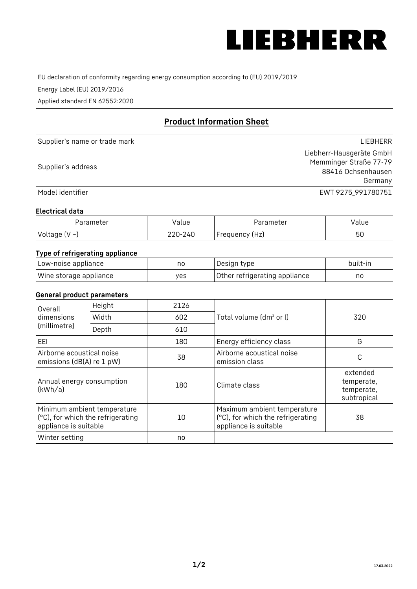

EU declaration of conformity regarding energy consumption according to (EU) 2019/2019

Energy Label (EU) 2019/2016

Applied standard EN 62552:2020

# **Product Information Sheet**

| Supplier's name or trade mark | <b>LIFBHFRR</b>          |
|-------------------------------|--------------------------|
|                               | Liebherr-Hausgeräte GmbH |
| Supplier's address            | Memminger Straße 77-79   |
|                               | 88416 Ochsenhausen       |
|                               | Germany                  |
| Model identifier              | EWT 9275 991780751       |

#### **Electrical data**

| Parameter           | Value   | Parameter      | Value |
|---------------------|---------|----------------|-------|
| Voltage (V $\sim$ ) | 220-240 | Frequency (Hz) | 50    |

# **Type of refrigerating appliance**

| Low-noise appliance    | nc  | , Design type i               | built-in |
|------------------------|-----|-------------------------------|----------|
| Wine storage appliance | ves | Other refrigerating appliance | nc       |

### **General product parameters**

| Height<br>Overall                                      |                                                                  | 2126 |                                                                                           |                                                     |
|--------------------------------------------------------|------------------------------------------------------------------|------|-------------------------------------------------------------------------------------------|-----------------------------------------------------|
| dimensions<br>(millimetre)                             | Width                                                            | 602  | Total volume (dm <sup>3</sup> or l)                                                       | 320                                                 |
|                                                        | Depth                                                            | 610  |                                                                                           |                                                     |
| EEL                                                    |                                                                  | 180  | Energy efficiency class                                                                   | G                                                   |
| Airborne acoustical noise<br>emissions (dB(A) re 1 pW) |                                                                  | 38   | Airborne acoustical noise<br>emission class                                               | С                                                   |
| Annual energy consumption<br>(kWh/a)                   |                                                                  | 180  | Climate class                                                                             | extended<br>temperate,<br>temperate,<br>subtropical |
| appliance is suitable                                  | Minimum ambient temperature<br>(°C), for which the refrigerating | 10   | Maximum ambient temperature<br>(°C), for which the refrigerating<br>appliance is suitable | 38                                                  |
| Winter setting                                         |                                                                  | no   |                                                                                           |                                                     |